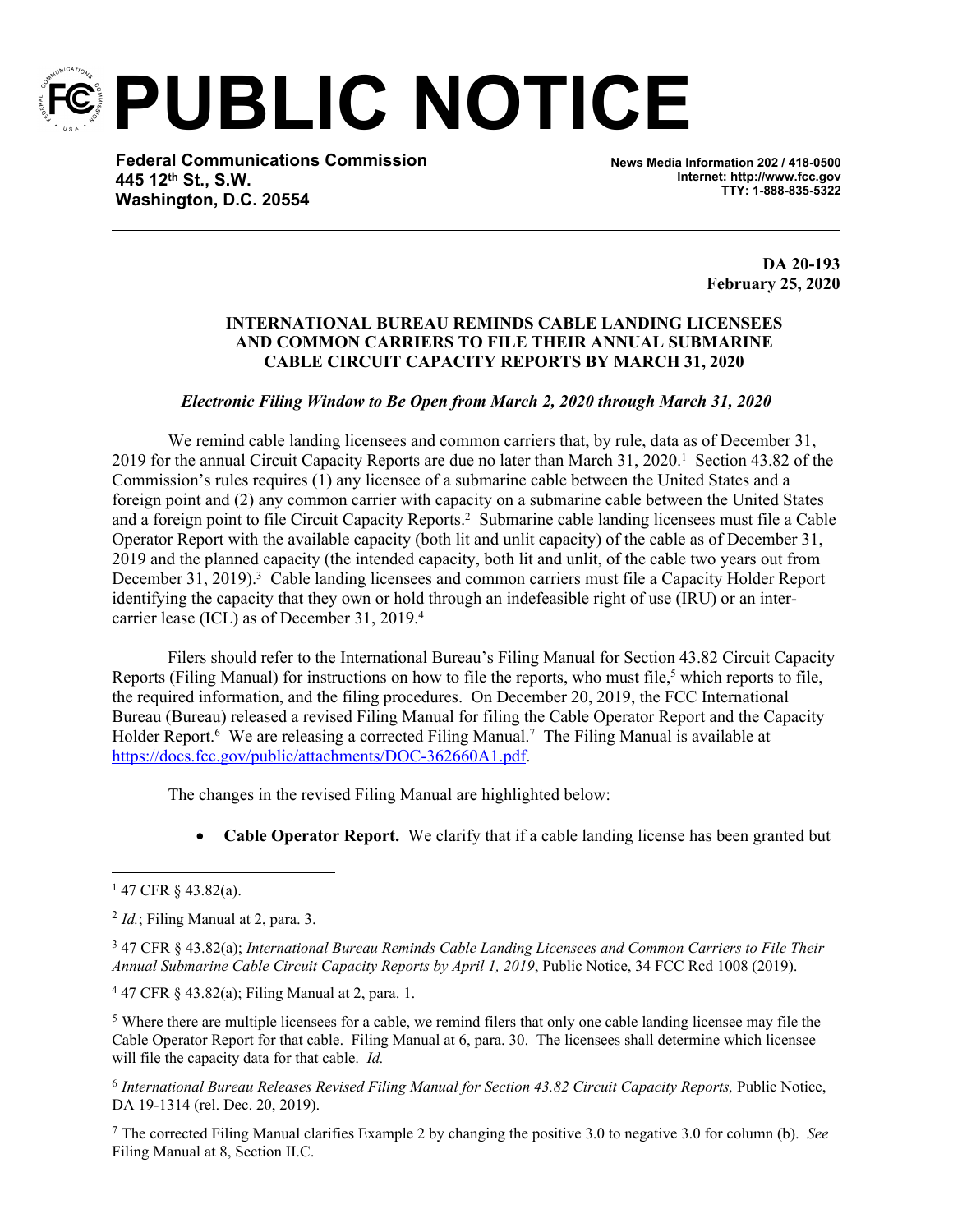

**PUBLIC NOTICE**

**Federal Communications Commission 445 12th St., S.W. Washington, D.C. 20554**

**News Media Information 202 / 418-0500 Internet: http://www.fcc.gov TTY: 1-888-835-5322**

> **DA 20-193 February 25, 2020**

## **INTERNATIONAL BUREAU REMINDS CABLE LANDING LICENSEES AND COMMON CARRIERS TO FILE THEIR ANNUAL SUBMARINE CABLE CIRCUIT CAPACITY REPORTS BY MARCH 31, 2020**

*Electronic Filing Window to Be Open from March 2, 2020 through March 31, 2020*

We remind cable landing licensees and common carriers that, by rule, data as of December 31, 2019 for the annual Circuit Capacity Reports are due no later than March 31, 2020.<sup>1</sup> Section 43.82 of the Commission's rules requires (1) any licensee of a submarine cable between the United States and a foreign point and (2) any common carrier with capacity on a submarine cable between the United States and a foreign point to file Circuit Capacity Reports.<sup>2</sup> Submarine cable landing licensees must file a Cable Operator Report with the available capacity (both lit and unlit capacity) of the cable as of December 31, 2019 and the planned capacity (the intended capacity, both lit and unlit, of the cable two years out from December 31, 2019).<sup>3</sup> Cable landing licensees and common carriers must file a Capacity Holder Report identifying the capacity that they own or hold through an indefeasible right of use (IRU) or an intercarrier lease (ICL) as of December 31, 2019.<sup>4</sup>

 Filers should refer to the International Bureau's Filing Manual for Section 43.82 Circuit Capacity Reports (Filing Manual) for instructions on how to file the reports, who must file,<sup>5</sup> which reports to file, the required information, and the filing procedures. On December 20, 2019, the FCC International Bureau (Bureau) released a revised Filing Manual for filing the Cable Operator Report and the Capacity Holder Report.<sup>6</sup> We are releasing a corrected Filing Manual.<sup>7</sup> The Filing Manual is available at <https://docs.fcc.gov/public/attachments/DOC-362660A1.pdf>.

The changes in the revised Filing Manual are highlighted below:

**Cable Operator Report.**We clarify that if a cable landing license has been granted but

<sup>4</sup> 47 CFR § 43.82(a); Filing Manual at 2, para. 1.

<sup>5</sup> Where there are multiple licensees for a cable, we remind filers that only one cable landing licensee may file the Cable Operator Report for that cable. Filing Manual at 6, para. 30. The licensees shall determine which licensee will file the capacity data for that cable. *Id.*

<sup>6</sup> International Bureau Releases Revised Filing Manual for Section 43.82 Circuit Capacity Reports, Public Notice, DA 19-1314 (rel. Dec. 20, 2019).

<sup>7</sup> The corrected Filing Manual clarifies Example 2 by changing the positive 3.0 to negative 3.0 for column (b). *See* Filing Manual at 8, Section II.C.

<sup>1</sup> 47 CFR § 43.82(a).

<sup>2</sup> *Id.*; Filing Manual at 2, para. 3.

<sup>3</sup> 47 CFR § 43.82(a); *International Bureau Reminds Cable Landing Licensees and Common Carriers to File Their Annual Submarine Cable Circuit Capacity Reports by April 1, 2019*, Public Notice, 34 FCC Rcd 1008 (2019).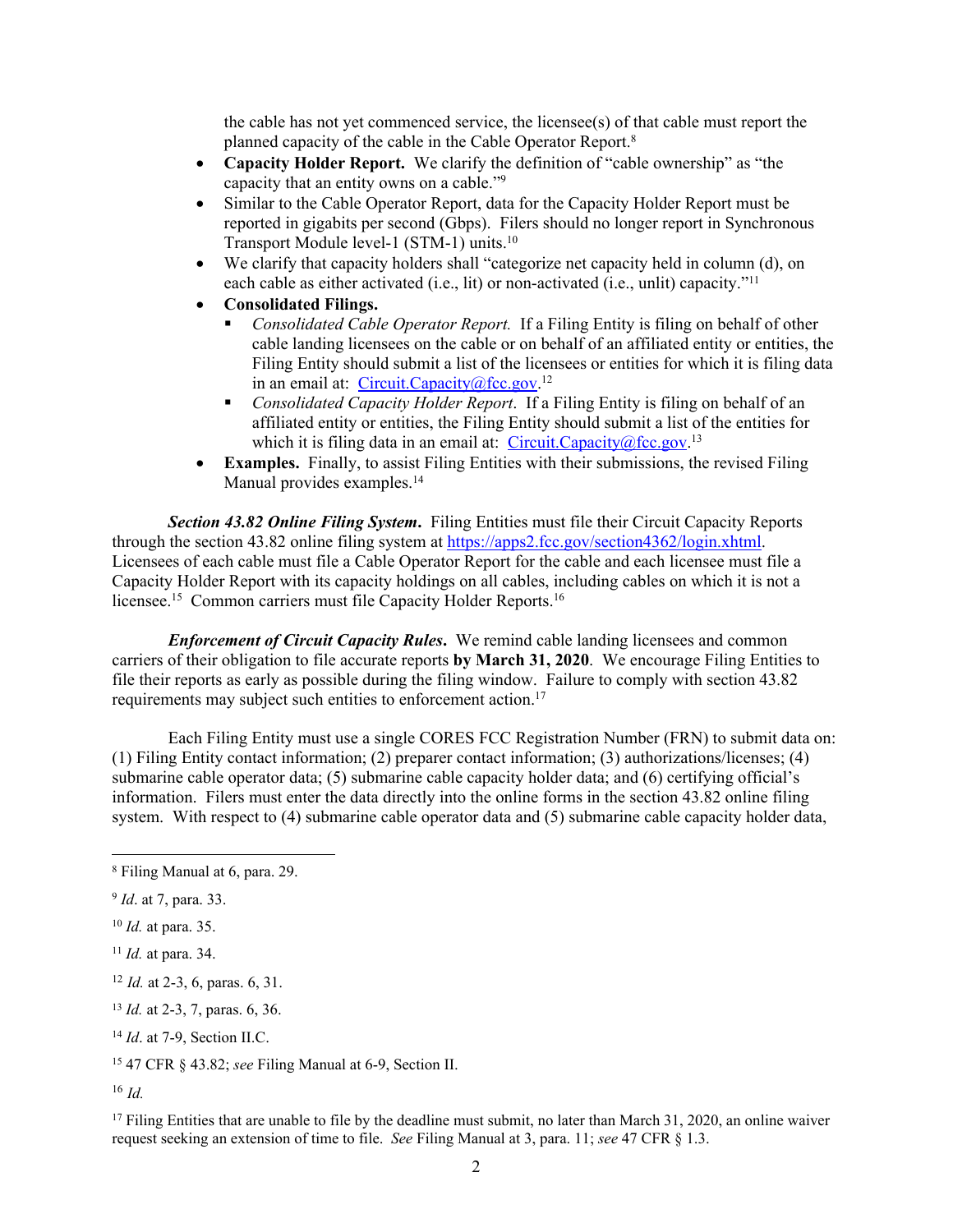the cable has not yet commenced service, the licensee(s) of that cable must report the planned capacity of the cable in the Cable Operator Report.<sup>8</sup>

- **Capacity Holder Report.**We clarify the definition of "cable ownership" as "the capacity that an entity owns on a cable."<sup>9</sup>
- Similar to the Cable Operator Report, data for the Capacity Holder Report must be reported in gigabits per second (Gbps). Filers should no longer report in Synchronous Transport Module level-1 (STM-1) units.<sup>10</sup>
- We clarify that capacity holders shall "categorize net capacity held in column (d), on each cable as either activated (i.e., lit) or non-activated (i.e., unlit) capacity."<sup>11</sup>
- **Consolidated Filings.**
	- *Consolidated Cable Operator Report.* If a Filing Entity is filing on behalf of other cable landing licensees on the cable or on behalf of an affiliated entity or entities, the Filing Entity should submit a list of the licensees or entities for which it is filing data in an email at: [Circuit.Capacity@fcc.gov](mailto:Circuit.Capacity@fcc.gov).<sup>12</sup>
	- *Consolidated Capacity Holder Report*. If a Filing Entity is filing on behalf of an affiliated entity or entities, the Filing Entity should submit a list of the entities for which it is filing data in an email at: [Circuit.Capacity@fcc.gov.](mailto:Circuit.Capacity@fcc.gov)<sup>13</sup>
- **Examples.**Finally, to assist Filing Entities with their submissions, the revised Filing Manual provides examples.<sup>14</sup>

*Section 43.82 Online Filing System***.** Filing Entities must file their Circuit Capacity Reports through the section 43.82 online filing system at<https://apps2.fcc.gov/section4362/login.xhtml>. Licensees of each cable must file a Cable Operator Report for the cable and each licensee must file a Capacity Holder Report with its capacity holdings on all cables, including cables on which it is not a licensee.<sup>15</sup> Common carriers must file Capacity Holder Reports.<sup>16</sup>

*Enforcement of Circuit Capacity Rules*. We remind cable landing licensees and common carriers of their obligation to file accurate reports **by March 31, 2020**. We encourage Filing Entities to file their reports as early as possible during the filing window. Failure to comply with section 43.82 requirements may subject such entities to enforcement action.<sup>17</sup>

Each Filing Entity must use a single CORES FCC Registration Number (FRN) to submit data on: (1) Filing Entity contact information; (2) preparer contact information; (3) authorizations/licenses; (4) submarine cable operator data; (5) submarine cable capacity holder data; and (6) certifying official's information. Filers must enter the data directly into the online forms in the section 43.82 online filing system. With respect to (4) submarine cable operator data and (5) submarine cable capacity holder data,

<sup>14</sup> *Id*. at 7-9, Section II.C.

<sup>16</sup> *Id.*

<sup>17</sup> Filing Entities that are unable to file by the deadline must submit, no later than March 31, 2020, an online waiver request seeking an extension of time to file. *See* Filing Manual at 3, para. 11; *see* 47 CFR § 1.3.

<sup>8</sup> Filing Manual at 6, para. 29.

<sup>9</sup> *Id*. at 7, para. 33.

<sup>10</sup> *Id.* at para. 35.

<sup>11</sup> *Id.* at para. 34.

<sup>12</sup> *Id.* at 2-3, 6, paras. 6, 31.

<sup>13</sup> *Id.* at 2-3, 7, paras. 6, 36.

<sup>15</sup> 47 CFR § 43.82; *see* Filing Manual at 6-9, Section II.